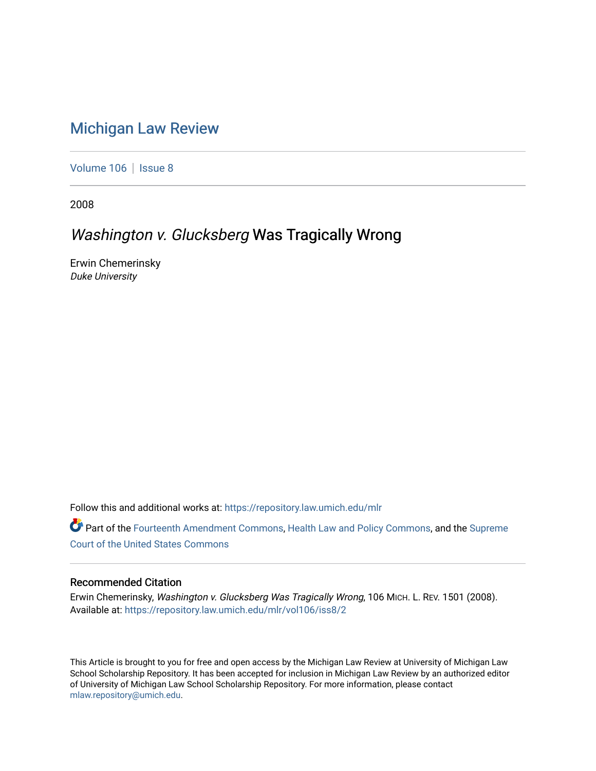# [Michigan Law Review](https://repository.law.umich.edu/mlr)

[Volume 106](https://repository.law.umich.edu/mlr/vol106) | [Issue 8](https://repository.law.umich.edu/mlr/vol106/iss8)

2008

## Washington v. Glucksberg Was Tragically Wrong

Erwin Chemerinsky Duke University

Follow this and additional works at: [https://repository.law.umich.edu/mlr](https://repository.law.umich.edu/mlr?utm_source=repository.law.umich.edu%2Fmlr%2Fvol106%2Fiss8%2F2&utm_medium=PDF&utm_campaign=PDFCoverPages) 

Part of the [Fourteenth Amendment Commons](http://network.bepress.com/hgg/discipline/1116?utm_source=repository.law.umich.edu%2Fmlr%2Fvol106%2Fiss8%2F2&utm_medium=PDF&utm_campaign=PDFCoverPages), [Health Law and Policy Commons,](http://network.bepress.com/hgg/discipline/901?utm_source=repository.law.umich.edu%2Fmlr%2Fvol106%2Fiss8%2F2&utm_medium=PDF&utm_campaign=PDFCoverPages) and the [Supreme](http://network.bepress.com/hgg/discipline/1350?utm_source=repository.law.umich.edu%2Fmlr%2Fvol106%2Fiss8%2F2&utm_medium=PDF&utm_campaign=PDFCoverPages) [Court of the United States Commons](http://network.bepress.com/hgg/discipline/1350?utm_source=repository.law.umich.edu%2Fmlr%2Fvol106%2Fiss8%2F2&utm_medium=PDF&utm_campaign=PDFCoverPages)

## Recommended Citation

Erwin Chemerinsky, Washington v. Glucksberg Was Tragically Wrong, 106 MICH. L. REV. 1501 (2008). Available at: [https://repository.law.umich.edu/mlr/vol106/iss8/2](https://repository.law.umich.edu/mlr/vol106/iss8/2?utm_source=repository.law.umich.edu%2Fmlr%2Fvol106%2Fiss8%2F2&utm_medium=PDF&utm_campaign=PDFCoverPages) 

This Article is brought to you for free and open access by the Michigan Law Review at University of Michigan Law School Scholarship Repository. It has been accepted for inclusion in Michigan Law Review by an authorized editor of University of Michigan Law School Scholarship Repository. For more information, please contact [mlaw.repository@umich.edu.](mailto:mlaw.repository@umich.edu)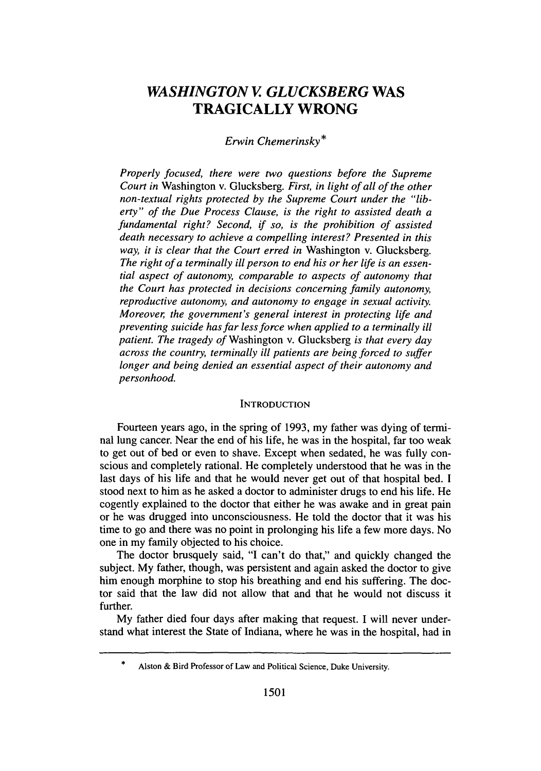## *WASHINGTON V GLUCKSBERG* **WAS TRAGICALLY WRONG**

### *Erwin Chemerinsky\**

*Properly focused, there were two questions before the Supreme Court in* Washington v. Glucksberg. *First, in light of all of the other non-textual rights protected by the Supreme Court under the "liberty" of the Due Process Clause, is the right to assisted death a fundamental right? Second, if so, is the prohibition of assisted death necessary to achieve a compelling interest? Presented in this way, it is clear that the Court erred in* Washington v. Glucksberg. The right of a terminally *ill person to end his or her life is an essential aspect of autonomy, comparable to aspects of autonomy that the Court has protected in decisions concerning family autonomy, reproductive autonomy, and autonomy to engage in sexual activity. Moreover, the government's general interest in protecting life and preventing suicide has far less force when applied to a terminally ill patient. The tragedy of* Washington v. Glucksberg *is that every day across the country, terminally ill patients are being forced to suffer longer and being denied an essential aspect of their autonomy and personhood.*

#### **INTRODUCTION**

Fourteen years ago, in the spring of **1993,** my father was dying of terminal lung cancer. Near the end of his life, he was in the hospital, far too weak to get **out of** bed or even to shave. Except when sedated, he was fully conscious and completely rational. He completely understood that he was in the last days of his life and that he would never get out of that hospital bed. **I** stood next to him as he asked a doctor to administer drugs to end his life. He cogently explained to the doctor that either he was awake and in great pain or he was drugged into unconsciousness. He told the doctor that it was his time to go and there was no point in prolonging his life a few more days. No one in my family objected to his choice.

The doctor brusquely said, **"I** can't do that," and quickly changed the subject. **My** father, though, was persistent and again asked the doctor to give him enough morphine to stop his breathing and end his suffering. The doctor said that the law did not allow that and that he would not discuss it **further.**

**My** father died four days after making that request. **I** will never understand what interest the State of Indiana, where he was in the hospital, had in

<sup>\*</sup> Alston & Bird Professor of Law and Political Science, Duke University.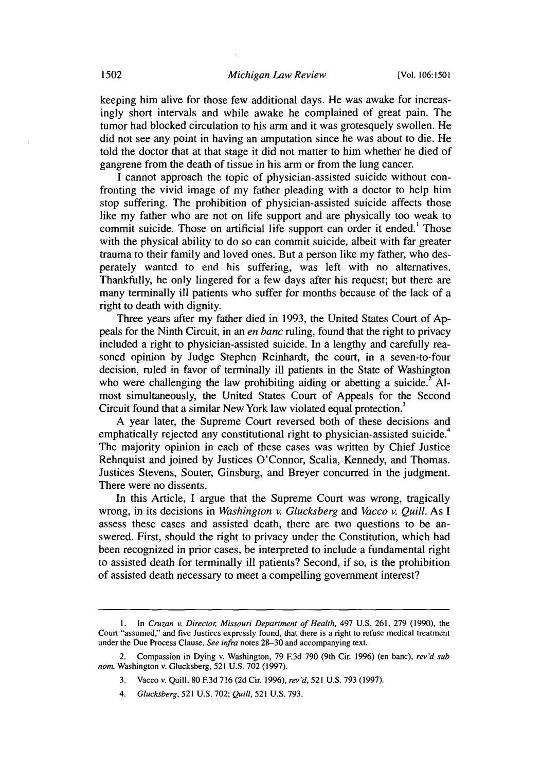keeping him alive for those few additional days. He was awake for increasingly short intervals and while awake he complained of great pain. The tumor had blocked circulation to his arm and it was grotesquely swollen. He did not see any point in having an amputation since he was about to die. He told the doctor that at that stage it did not matter to him whether he died of gangrene from the death of tissue in his arm or from the lung cancer.

I cannot approach the topic of physician-assisted suicide without confronting the vivid image of my father pleading with a doctor to help him stop suffering. The prohibition of physician-assisted suicide affects those like my father who are not on life support and are physically too weak to commit suicide. Those on artificial life support can order it ended.' Those with the physical ability to do so can commit suicide, albeit with far greater trauma to their family and loved ones. But a person like my father, who desperately wanted to end his suffering, was left with no alternatives. Thankfully, he only lingered for a few days after his request; but there are many terminally ill patients who suffer for months because of the lack of a right to death with dignity.

Three years after my father died in 1993, the United States Court of Appeals for the Ninth Circuit, in an *en banc* ruling, found that the right to privacy included a right to physician-assisted suicide. In a lengthy and carefully reasoned opinion by Judge Stephen Reinhardt, the court, in a seven-to-four decision, ruled in favor of terminally ill patients in the State of Washington who were challenging the law prohibiting aiding or abetting a suicide.<sup>2</sup> Almost simultaneously, the United States Court of Appeals for the Second Circuit found that a similar New York law violated equal protection.<sup>3</sup>

A year later, the Supreme Court reversed both of these decisions and emphatically rejected any constitutional right to physician-assisted suicide. The majority opinion in each of these cases was written by Chief Justice Rehnquist and joined by Justices O'Connor, Scalia, Kennedy, and Thomas. Justices Stevens, Souter, Ginsburg, and Breyer concurred in the judgment. There were no dissents.

In this Article, I argue that the Supreme Court was wrong, tragically wrong, in its decisions in *Washington v. Glucksberg and Vacco v. Quill.* As I assess these cases and assisted death, there are two questions to be answered. First, should the right to privacy under the Constitution, which had been recognized in prior cases, be interpreted to include a fundamental right to assisted death for terminally ill patients? Second, if so, is the prohibition of assisted death necessary to meet a compelling government interest?

**<sup>1.</sup>** In Cruzan *v. Director, Missouri Department of Health,* 497 U.S. 261, 279 (1990), the Court "assumed," and five Justices expressly found, that there is a right to refuse medical treatment under the Due Process Clause. *See infra* notes 28-30 and accompanying text.

<sup>2.</sup> Compassion in Dying v. Washington, 79 **E3d** 790 (9th Cir. 1996) (en banc), *rev'd sub nom.* Washington v. Glucksberg, 521 U.S. 702 (1997).

<sup>3.</sup> Vacco v. Quill, 80 F.3d 716 (2d Cir. 1996), *rev'd,* 521 U.S. 793 (1997).

<sup>4.</sup> *Glucksberg,* 521 U.S. 702; *Quill,* 521 U.S. 793.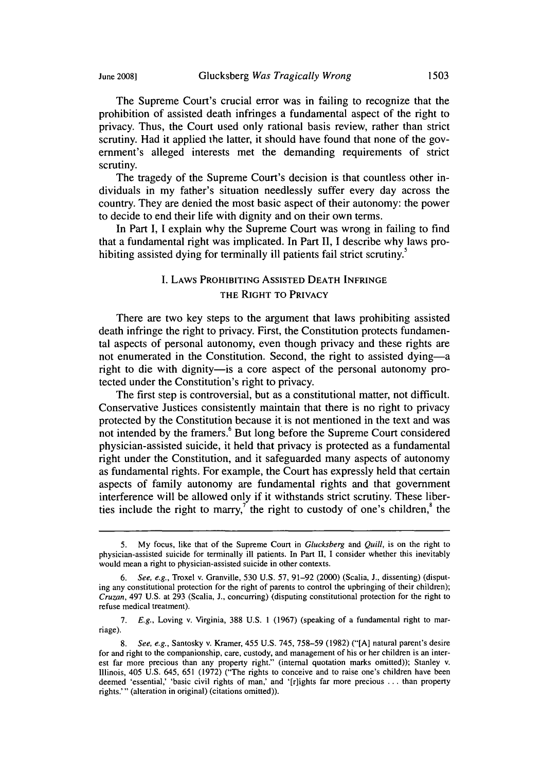The Supreme Court's crucial error was in failing to recognize that the prohibition of assisted death infringes a fundamental aspect of the right to privacy. Thus, the Court used only rational basis review, rather than strict scrutiny. Had it applied the latter, it should have found that none of the government's alleged interests met the demanding requirements of strict scrutiny.

The tragedy of the Supreme Court's decision is that countless other individuals in my father's situation needlessly suffer every day across the country. They are denied the most basic aspect of their autonomy: the power to decide to end their life with dignity and on their own terms.

In Part I, I explain why the Supreme Court was wrong in failing to find that a fundamental right was implicated. In Part II, I describe why laws prohibiting assisted dying for terminally ill patients fail strict scrutiny.<sup>5</sup>

### I. LAWS PROHIBITING **ASSISTED DEATH INFRINGE** THE RIGHT TO PRIVACY

There are two key steps to the argument that laws prohibiting assisted death infringe the right to privacy. First, the Constitution protects fundamental aspects of personal autonomy, even though privacy and these rights are not enumerated in the Constitution. Second, the right to assisted dying-a right to die with dignity- is a core aspect of the personal autonomy protected under the Constitution's right to privacy.

The first step is controversial, but as a constitutional matter, not difficult. Conservative Justices consistently maintain that there is no right to privacy protected by the Constitution because it is not mentioned in the text and was not intended by the framers.<sup>6</sup> But long before the Supreme Court considered physician-assisted suicide, it held that privacy is protected as a fundamental right under the Constitution, and it safeguarded many aspects of autonomy as fundamental rights. For example, the Court has expressly held that certain aspects of family autonomy are fundamental rights and that government interference will be allowed only if it withstands strict scrutiny. These liberties include the right to marry,<sup> $\tau$ </sup> the right to custody of one's children, $\delta$  the

7. E.g., Loving v. Virginia, 388 U.S. 1 (1967) (speaking of a fundamental right to marriage).

<sup>5.</sup> My focus, like that of the Supreme Court in *Glucksberg* and *Quill*, is on the right to physician-assisted suicide for terminally ill patients. In Part **11,** I consider whether this inevitably would mean a right to physician-assisted suicide in other contexts.

<sup>6.</sup> See, e.g., Troxel v. Granville, 530 U.S. 57, 91-92 (2000) (Scalia, J., dissenting) (disputing any constitutional protection for the right of parents to control the upbringing of their children); Cruzan, 497 U.S. at 293 (Scalia, J., concurring) (disputing constitutional protection for the right to refuse medical treatment).

<sup>8.</sup> *See,* e.g., Santosky v. Kramer, 455 U.S. 745, 758-59 (1982) ("[A] natural parent's desire for and right to the companionship, care, custody, and management of his or her children is an interest far more precious than any property right." (internal quotation marks omitted)); Stanley v. Illinois, 405 U.S. 645, 651 (1972) ("The rights to conceive and to raise one's children have been deemed 'essential,' 'basic civil rights of man,' and '[r]ights far more precious ... than property rights.'" (alteration in original) (citations omitted)).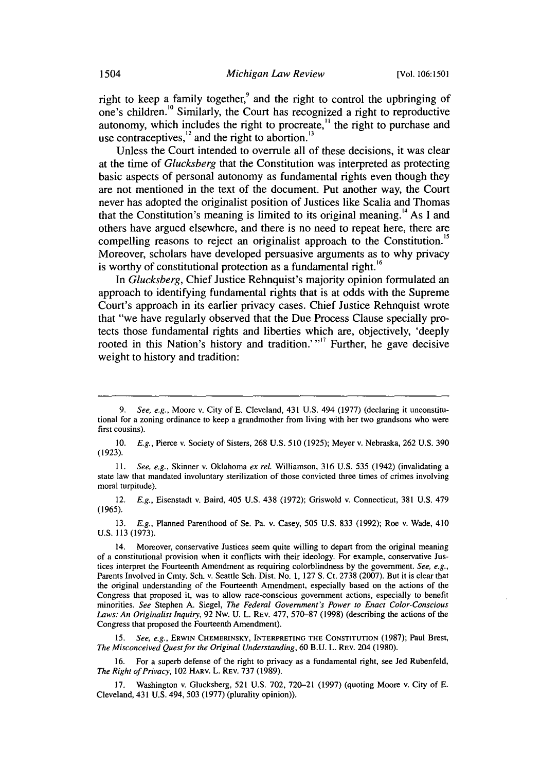right to keep a family together, $\degree$  and the right to control the upbringing of one's children.<sup>10</sup> Similarly, the Court has recognized a right to reproductive autonomy, which includes the right to procreate,<sup>11</sup> the right to purchase and use contraceptives, $^{12}$  and the right to abortion.<sup>13</sup>

Unless the Court intended to overrule all of these decisions, it was clear at the time of *Glucksberg* that the Constitution was interpreted as protecting basic aspects of personal autonomy as fundamental rights even though they are not mentioned in the text of the document. Put another way, the Court never has adopted the originalist position of Justices like Scalia and Thomas that the Constitution's meaning is limited to its original meaning. **<sup>14</sup>**As **I** and others have argued elsewhere, and there is no need to repeat here, there are compelling reasons to reject an originalist approach to the Constitution.<sup>15</sup> Moreover, scholars have developed persuasive arguments as to why privacy is worthy of constitutional protection as a fundamental right.<sup>16</sup>

In *Glucksberg,* Chief Justice Rehnquist's majority opinion formulated an approach to identifying fundamental rights that is at odds with the Supreme Court's approach in its earlier privacy cases. Chief Justice Rehnquist wrote that "we have regularly observed that the Due Process Clause specially protects those fundamental rights and liberties which are, objectively, 'deeply rooted in this Nation's history and tradition.'"<sup>17</sup> Further, he gave decisive weight to history and tradition:

13. *E.g.,* Planned Parenthood of Se. Pa. v. Casey, 505 U.S. 833 (1992); Roe v. Wade, 410 U.S. 113 (1973).

<sup>9.</sup> *See, e.g.,* Moore v. City of E. Cleveland, 431 U.S. 494 (1977) (declaring it unconstitutional for a zoning ordinance to keep a grandmother from living with her two grandsons who were first cousins).

<sup>10.</sup> *E.g.,* Pierce v. Society of Sisters, 268 U.S. 510 (1925); Meyer v. Nebraska, 262 U.S. 390 (1923).

<sup>11.</sup> *See, e.g.,* Skinner v. Oklahoma *ex rel.* Williamson, 316 U.S. 535 (1942) (invalidating a state law that mandated involuntary sterilization of those convicted three times of crimes involving moral turpitude).

<sup>12.</sup> *E.g.,* Eisenstadt v. Baird, 405 U.S. 438 (1972); Griswold v. Connecticut, 381 U.S. 479 (1965).

<sup>14.</sup> Moreover, conservative Justices seem quite willing to depart from the original meaning of a constitutional provision when it conflicts with their ideology. For example, conservative Justices interpret the Fourteenth Amendment as requiring colorblindness by the government. *See, e.g.,* Parents Involved in Cmty. Sch. v. Seattle Sch. Dist. No. 1, 127 S. Ct. 2738 (2007). But it is clear that the original understanding of the Fourteenth Amendment, especially based on the actions of the Congress that proposed it, was to allow race-conscious government actions, especially to benefit minorities. *See* Stephen A. Siegel, *The Federal Government's Power to Enact Color-Conscious* Laws: An Originalist Inquiry, 92 Nw. U. L. REV. 477, 570–87 (1998) (describing the actions of the Congress that proposed the Fourteenth Amendment).

<sup>15.</sup> *See, e.g.,* ERWIN CHEMERINSKY, INTERPRETING THE CONSTITUTION (1987); Paul Brest, *The* Misconceived Quest for the *Original Understanding,* 60 B.U. L. REV. 204 (1980).

<sup>16.</sup> For a superb defense of the right to privacy as a fundamental right, see Jed Rubenfeld, *The Right of Privacy,* 102 HARV. L. REv. **737** (1989).

**<sup>17.</sup>** Washington v. Glucksberg, 521 U.S. 702, 720-21 (1997) (quoting Moore v. City of E. Cleveland, 431 U.S. 494, 503 (1977) (plurality opinion)).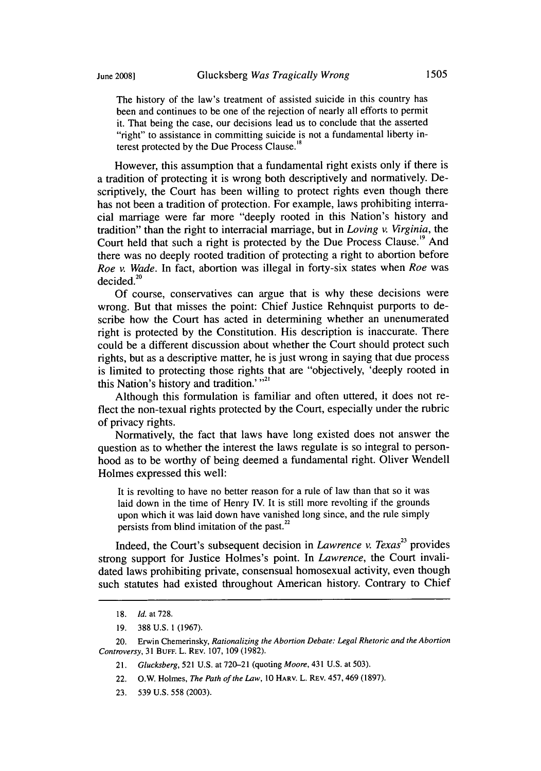The history of the law's treatment of assisted suicide in this country has been and continues to be one of the rejection of nearly all efforts to permit it. That being the case, our decisions lead us to conclude that the asserted "fight" to assistance in committing suicide is not a fundamental liberty interest protected by the Due Process Clause.'"

However, this assumption that a fundamental right exists only if there is a tradition of protecting it is wrong both descriptively and normatively. Descriptively, the Court has been willing to protect rights even though there has not been a tradition of protection. For example, laws prohibiting interracial marriage were far more "deeply rooted in this Nation's history and tradition" than the right to interracial marriage, but in *Loving v. Virginia,* the Court held that such a right is protected by the Due Process Clause.<sup>19</sup> And there was no deeply rooted tradition of protecting a right to abortion before *Roe v. Wade.* In fact, abortion was illegal in forty-six states when *Roe* was  $decided.<sup>20</sup>$ 

Of course, conservatives can argue that is why these decisions were wrong. But that misses the point: Chief Justice Rehnquist purports to describe how the Court has acted in determining whether an unenumerated right is protected by the Constitution. His description is inaccurate. There could be a different discussion about whether the Court should protect such rights, but as a descriptive matter, he is just wrong in saying that due process is limited to protecting those rights that are "objectively, 'deeply rooted in this Nation's history and tradition.'<sup>"21</sup>

Although this formulation is familiar and often uttered, it does not reflect the non-texual rights protected by the Court, especially under the rubric of privacy rights.

Normatively, the fact that laws have long existed does not answer the question as to whether the interest the laws regulate is so integral to personhood as to be worthy of being deemed a fundamental right. Oliver Wendell Holmes expressed this well:

It is revolting to have no better reason for a rule of law than that so it was laid down in the time of Henry IV. It is still more revolting if the grounds upon which it was laid down have vanished long since, and the rule simply persists from blind imitation of the past.<sup>22</sup>

Indeed, the Court's subsequent decision in *Lawrence v. Texas*<sup>23</sup> provides strong support for Justice Holmes's point. In *Lawrence,* the Court invalidated laws prohibiting private, consensual homosexual activity, even though such statutes had existed throughout American history. Contrary to Chief

<sup>18.</sup> *Id. at 728.*

<sup>19. 388</sup> U.S. 1 (1967).

<sup>20.</sup> Erwin Chemerinsky, *Rationalizing the Abortion Debate: Legal Rhetoric and the Abortion Controversy,* 31 **BUFF.** L. REV. 107, 109 (1982).

<sup>21.</sup> *Glucksberg,* 521 U.S. at 720-21 (quoting *Moore,* 431 U.S. at 503).

<sup>22.</sup> O.W. Holmes, *The Path of the Law,* 10 HARV. L. REV. 457,469 (1897).

<sup>23. 539</sup> U.S. 558 (2003).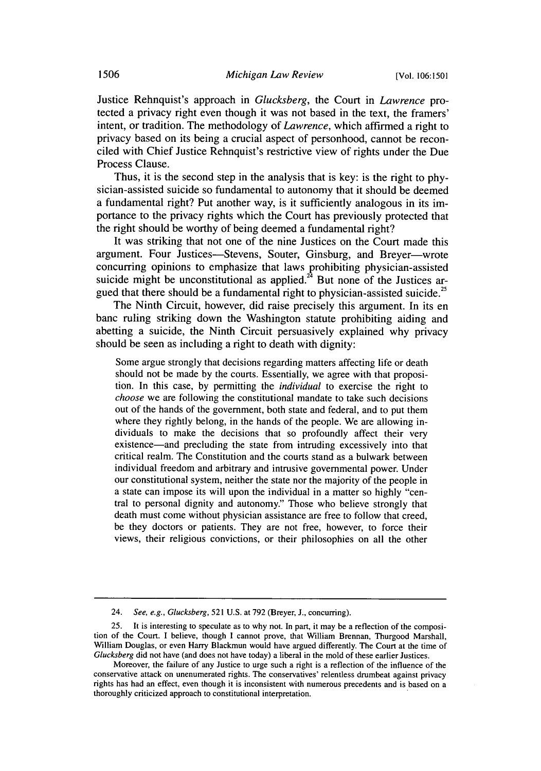Justice Rehnquist's approach in *Glucksberg,* the Court in *Lawrence* protected a privacy right even though it was not based in the text, the framers' intent, or tradition. The methodology of *Lawrence,* which affirmed a right to privacy based on its being a crucial aspect of personhood, cannot be reconciled with Chief Justice Rehnquist's restrictive view of rights under the Due Process Clause.

Thus, it is the second step in the analysis that is key: is the right to physician-assisted suicide so fundamental to autonomy that it should be deemed a fundamental right? Put another way, is it sufficiently analogous in its importance to the privacy rights which the Court has previously protected that the right should be worthy of being deemed a fundamental right?

It was striking that not one of the nine Justices on the Court made this argument. Four Justices-Stevens, Souter, Ginsburg, and Breyer-wrote concurring opinions to emphasize that laws prohibiting physician-assisted suicide might be unconstitutional as applied.<sup>24</sup> But none of the Justices argued that there should be a fundamental right to physician-assisted suicide.<sup>25</sup>

The Ninth Circuit, however, did raise precisely this argument. In its en banc ruling striking down the Washington statute prohibiting aiding and abetting a suicide, the Ninth Circuit persuasively explained why privacy should be seen as including a right to death with dignity:

Some argue strongly that decisions regarding matters affecting life or death should not be made by the courts. Essentially, we agree with that proposition. In this case, by permitting the *individual* to exercise the right to *choose* we are following the constitutional mandate to take such decisions out of the hands of the government, both state and federal, and to put them where they rightly belong, in the hands of the people. We are allowing individuals to make the decisions that so profoundly affect their very existence-and precluding the state from intruding excessively into that critical realm. The Constitution and the courts stand as a bulwark between individual freedom and arbitrary and intrusive governmental power. Under our constitutional system, neither the state nor the majority of the people in a state can impose its will upon the individual in a matter so highly "central to personal dignity and autonomy." Those who believe strongly that death must come without physician assistance are free to follow that creed, be they doctors or patients. They are not free, however, to force their views, their religious convictions, or their philosophies on all the other

<sup>24.</sup> See, e.g., Glucksberg, 521 U.S. at 792 (Breyer, J., concurring).

<sup>25.</sup> It is interesting to speculate as to why not. In part, it may be a reflection of the composition of the Court. I believe, though I cannot prove, that William Brennan, Thurgood Marshall, William Douglas, or even Harry Blackmun would have argued differently. The Court at the time of Glucksberg did not have (and does not have today) a liberal in the mold of these earlier Justices.

Moreover, the failure of any Justice to urge such a fight is a reflection of the influence of the conservative attack on unenumerated rights. The conservatives' relentless drumbeat against privacy rights has had an effect, even though it is inconsistent with numerous precedents and is based on a thoroughly criticized approach to constitutional interpretation.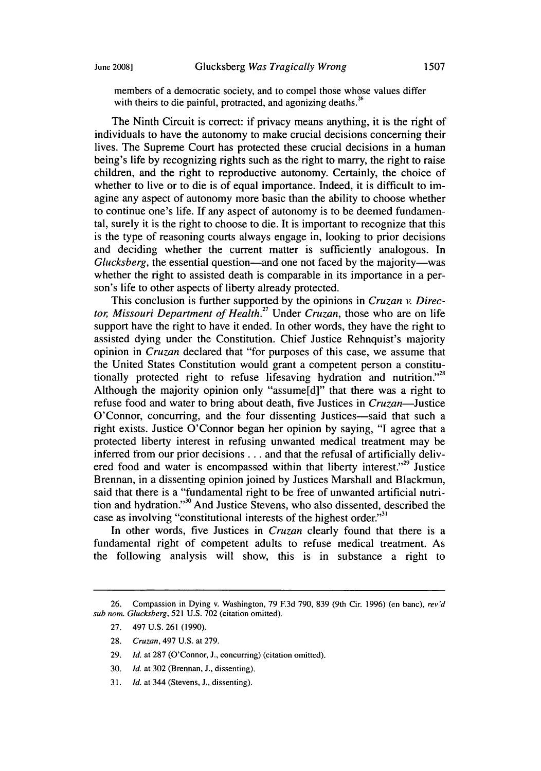members of a democratic society, and to compel those whose values differ with theirs to die painful, protracted, and agonizing deaths.<sup>26</sup>

The Ninth Circuit is correct: if privacy means anything, it is the right of individuals to have the autonomy to make crucial decisions concerning their lives. The Supreme Court has protected these crucial decisions in a human being's life by recognizing rights such as the right to marry, the right to raise children, and the right to reproductive autonomy. Certainly, the choice of whether to live or to die is of equal importance. Indeed, it is difficult to imagine any aspect of autonomy more basic than the ability to choose whether to continue one's life. If any aspect of autonomy is to be deemed fundamental, surely it is the right to choose to die. It is important to recognize that this is the type of reasoning courts always engage in, looking to prior decisions and deciding whether the current matter is sufficiently analogous. In *Glucksberg*, the essential question—and one not faced by the majority—was whether the right to assisted death is comparable in its importance in a person's life to other aspects of liberty already protected.

This conclusion is further supported by the opinions in *Cruzan v. Director, Missouri Department of Health.27* Under *Cruzan,* those who are on life support have the right to have it ended. In other words, they have the right to assisted dying under the Constitution. Chief Justice Rehnquist's majority opinion in *Cruzan* declared that "for purposes of this case, we assume that the United States Constitution would grant a competent person a constitutionally protected right to refuse lifesaving hydration and nutrition."<sup>28</sup> Although the majority opinion only "assume[d]" that there was a right to refuse food and water to bring about death, five Justices in *Cruzan*—Justice O'Connor, concurring, and the four dissenting Justices—said that such a right exists. Justice O'Connor began her opinion by saying, "I agree that a protected liberty interest in refusing unwanted medical treatment may be inferred from our prior decisions **.** .. and that the refusal of artificially delivered food and water is encompassed within that liberty interest."<sup>29</sup> Justice Brennan, in a dissenting opinion joined by Justices Marshall and Blackmun, said that there is a "fundamental right to be free of unwanted artificial nutrition and hydration."<sup>30</sup> And Justice Stevens, who also dissented, described the case as involving "constitutional interests of the highest order."<sup>31</sup>

In other words, five Justices in *Cruzan* clearly found that there is a fundamental right of competent adults to refuse medical treatment. As the following analysis will show, this is in substance a right to

<sup>26.</sup> Compassion in Dying v. Washington, 79 F.3d 790, 839 (9th Cir. 1996) (en banc), rev'd sub nom. Glucksberg, 521 U.S. 702 (citation omitted).

<sup>27. 497</sup> U.S. 261 (1990).

<sup>28.</sup> Cruzan, 497 U.S. at 279.

<sup>29.</sup> *Id.* at 287 (O'Connor, J., concurring) (citation omitted).

<sup>30.</sup> *Id.* at 302 (Brennan, J., dissenting).

<sup>31.</sup> *Id.* at 344 (Stevens, J., dissenting).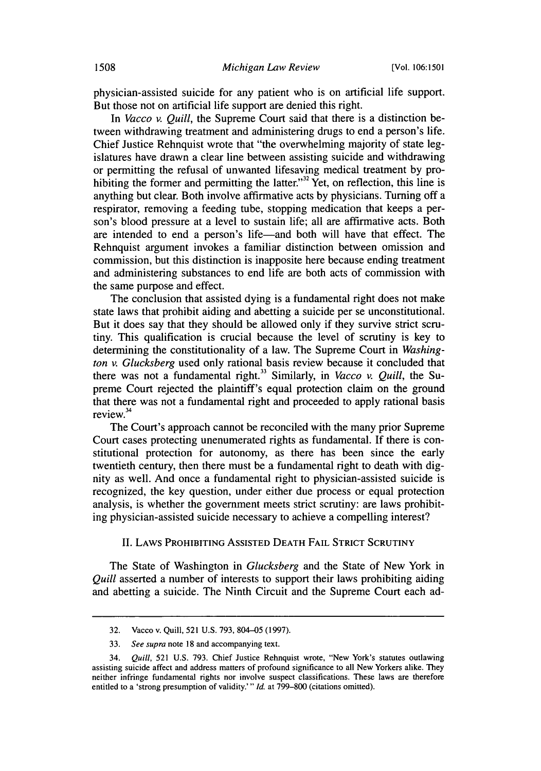physician-assisted suicide for any patient who is on artificial life support. But those not on artificial life support are denied this right.

In *Vacco v. Quill,* the Supreme Court said that there is a distinction between withdrawing treatment and administering drugs to end a person's life. Chief Justice Rehnquist wrote that "the overwhelming majority of state legislatures have drawn a clear line between assisting suicide and withdrawing or permitting the refusal of unwanted lifesaving medical treatment by prohibiting the former and permitting the latter."<sup>32</sup> Yet, on reflection, this line is anything but clear. Both involve affirmative acts by physicians. Turning off a respirator, removing a feeding tube, stopping medication that keeps a person's blood pressure at a level to sustain life; all are affirmative acts. Both are intended to end a person's life-and both will have that effect. The Rehnquist argument invokes a familiar distinction between omission and commission, but this distinction is inapposite here because ending treatment and administering substances to end life are both acts of commission with the same purpose and effect.

The conclusion that assisted dying is a fundamental right does not make state laws that prohibit aiding and abetting a suicide per se unconstitutional. But it does say that they should be allowed only if they survive strict scrutiny. This qualification is crucial because the level of scrutiny is key to determining the constitutionality of a law. The Supreme Court in *Washington v. Glucksberg* used only rational basis review because it concluded that there was not a fundamental right.<sup>33</sup> Similarly, in *Vacco v. Quill*, the Supreme Court rejected the plaintiff's equal protection claim on the ground that there was not a fundamental right and proceeded to apply rational basis review.<sup>34</sup>

The Court's approach cannot be reconciled with the many prior Supreme Court cases protecting unenumerated rights as fundamental. If there is constitutional protection for autonomy, as there has been since the early twentieth century, then there must be a fundamental right to death with dignity as well. And once a fundamental right to physician-assisted suicide is recognized, the key question, under either due process or equal protection analysis, is whether the government meets strict scrutiny: are laws prohibiting physician-assisted suicide necessary to achieve a compelling interest?

#### **II.** LAWS PROHIBITING ASSISTED DEATH FAIL STRICT SCRUTINY

The State of Washington in *Glucksberg* and the State of New York in *Quill* asserted a number of interests to support their laws prohibiting aiding and abetting a suicide. The Ninth Circuit and the Supreme Court each ad-

<sup>32.</sup> Vacco v. Quill, 521 U.S. 793, 804-05 (1997).

<sup>33.</sup> *See supra* note **18** and accompanying text.

<sup>34.</sup> *Quill,* **521** U.S. 793. Chief Justice Rehnquist wrote, "New York's statutes outlawing assisting suicide affect and address matters of profound significance to all New Yorkers alike. They neither infringe fundamental rights nor involve suspect classifications. These laws are therefore entitled to a 'strong presumption of validity.'" *Id.* at 799–800 (citations omitted).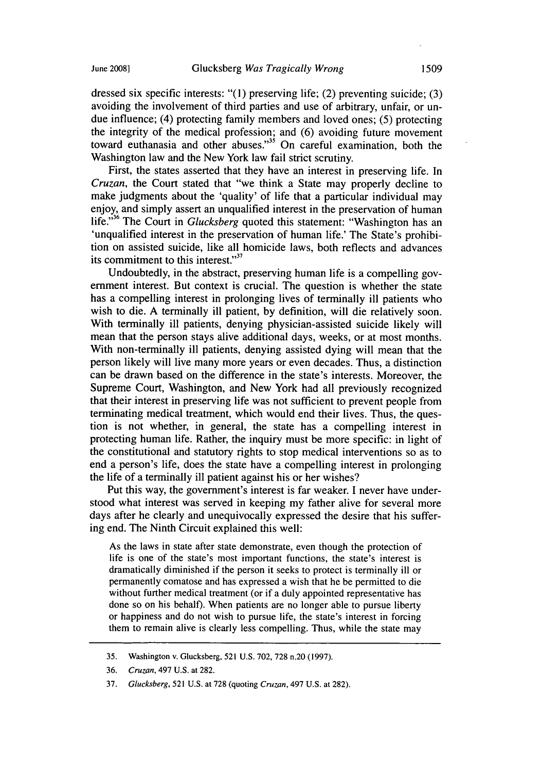dressed six specific interests: "(1) preserving life; (2) preventing suicide; (3) avoiding the involvement of third parties and use of arbitrary, unfair, or undue influence; (4) protecting family members and loved ones; (5) protecting the integrity of the medical profession; and (6) avoiding future movement toward euthanasia and other abuses."35 On careful examination, both the Washington law and the New York law fail strict scrutiny.

First, the states asserted that they have an interest in preserving life. In *Cruzan,* the Court stated that "we think a State may properly decline to make judgments about the 'quality' of life that a particular individual may enjoy, and simply assert an unqualified interest in the preservation of human life."<sup>36</sup> The Court in *Glucksberg* quoted this statement: "Washington has an 'unqualified interest in the preservation of human life.' The State's prohibition on assisted suicide, like all homicide laws, both reflects and advances its commitment to this interest." $37$ 

Undoubtedly, in the abstract, preserving human life is a compelling government interest. But context is crucial. The question is whether the state has a compelling interest in prolonging lives of terminally ill patients who wish to die. A terminally ill patient, by definition, will die relatively soon. With terminally ill patients, denying physician-assisted suicide likely will mean that the person stays alive additional days, weeks, or at most months. With non-terminally ill patients, denying assisted dying will mean that the person likely will live many more years or even decades. Thus, a distinction can be drawn based on the difference in the state's interests. Moreover, the Supreme Court, Washington, and New York had all previously recognized that their interest in preserving life was not sufficient to prevent people from terminating medical treatment, which would end their lives. Thus, the question is not whether, in general, the state has a compelling interest in protecting human life. Rather, the inquiry must be more specific: in light of the constitutional and statutory rights to stop medical interventions so as to end a person's life, does the state have a compelling interest in prolonging the life of a terminally ill patient against his or her wishes?

Put this way, the government's interest is far weaker. I never have understood what interest was served in keeping my father alive for several more days after he clearly and unequivocally expressed the desire that his suffering end. The Ninth Circuit explained this well:

As the laws in state after state demonstrate, even though the protection of life is one of the state's most important functions, the state's interest is dramatically diminished if the person it seeks to protect is terminally ill or permanently comatose and has expressed a wish that he be permitted to die without further medical treatment (or if a duly appointed representative has done so on his behalf). When patients are no longer able to pursue liberty or happiness and do not wish to pursue life, the state's interest in forcing them to remain alive is clearly less compelling. Thus, while the state may

<sup>35.</sup> Washington v. Glucksberg, 521 U.S. 702, 728 n.20 (1997).

<sup>36.</sup> Cruzan, 497 U.S. at 282.

<sup>37.</sup> Glucksberg, 521 U.S. at 728 (quoting Cruzan, 497 U.S. at 282).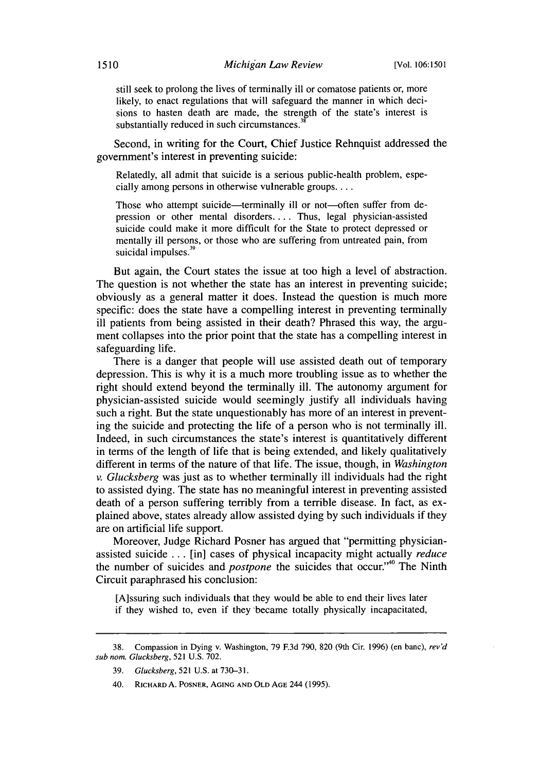still seek to prolong the lives of terminally ill or comatose patients or, more likely, to enact regulations that will safeguard the manner in which decisions to hasten death are made, the strength of the state's interest is substantially reduced in such circumstances **.**

Second, in writing for the Court, Chief Justice Rehnquist addressed the government's interest in preventing suicide:

Relatedly, all admit that suicide is a serious public-health problem, especially among persons in otherwise vulnerable groups....

Those who attempt suicide—terminally ill or not—often suffer from depression or other mental disorders **....** Thus, legal physician-assisted suicide could make it more difficult for the State to protect depressed or mentally ill persons, or those who are suffering from untreated pain, from suicidal impulses. $35$ 

But again, the Court states the issue at too high a level of abstraction. The question is not whether the state has an interest in preventing suicide; obviously as a general matter it does. Instead the question is much more specific: does the state have a compelling interest in preventing terminally ill patients from being assisted in their death? Phrased this way, the argument collapses into the prior point that the state has a compelling interest in safeguarding life.

There is a danger that people will use assisted death out of temporary depression. This is why it is a much more troubling issue as to whether the right should extend beyond the terminally ill. The autonomy argument for physician-assisted suicide would seemingly justify all individuals having such a right. But the state unquestionably has more of an interest in preventing the suicide and protecting the life of a person who is not terminally ill. Indeed, in such circumstances the state's interest is quantitatively different in terms of the length of life that is being extended, and likely qualitatively different in terms of the nature of that life. The issue, though, in *Washington v. Glucksberg* was just as to whether terminally ill individuals had the right to assisted dying. The state has no meaningful interest in preventing assisted death of a person suffering terribly from a terrible disease. In fact, as explained above, states already allow assisted dying by such individuals if they are on artificial life support.

Moreover, Judge Richard Posner has argued that "permitting physicianassisted suicide ... [in] cases of physical incapacity might actually *reduce* the number of suicides and *postpone* the suicides that occur."<sup>40</sup> The Ninth Circuit paraphrased his conclusion:

[A]ssuring such individuals that they would be able to end their lives later if they wished to, even if they -became totally physically incapacitated,

<sup>38.</sup> Compassion in Dying v. Washington, 79 **F.3d** 790, 820 (9th Cir. 1996) (en banc), rev'd sub nom. Glucksberg, 521 U.S. 702.

<sup>39.</sup> Glucksberg, 521 U.S. at 730-31.

<sup>40.</sup> RICHARD **A.** POSNER, **AGING AND OLD AGE** 244 (1995).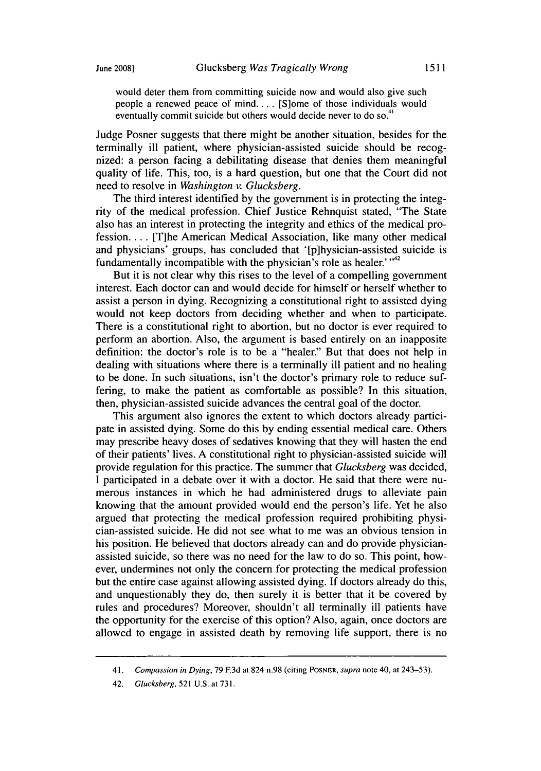would deter them from committing suicide now and would also give such people a renewed peace of mind.... [S]ome of those individuals would eventually commit suicide but others would decide never to do so.<sup>41</sup>

Judge Posner suggests that there might be another situation, besides for the terminally ill patient, where physician-assisted suicide should be recognized: a person facing a debilitating disease that denies them meaningful quality of life. This, too, is a hard question, but one that the Court did not need to resolve in *Washington v. Glucksberg.*

The third interest identified by the government is in protecting the integrity of the medical profession. Chief Justice Rehnquist stated, "The State also has an interest in protecting the integrity and ethics of the medical profession.... [T]he American Medical Association, like many other medical and physicians' groups, has concluded that '[p]hysician-assisted suicide is fundamentally incompatible with the physician's role as healer.<sup>' $,42$ </sup>

But it is not clear why this rises to the level of a compelling government interest. Each doctor can and would decide for himself or herself whether to assist a person in dying. Recognizing a constitutional right to assisted dying would not keep doctors from deciding whether and when to participate. There is a constitutional right to abortion, but no doctor is ever required to perform an abortion. Also, the argument is based entirely on an inapposite definition: the doctor's role is to be a "healer." But that does not help in dealing with situations where there is a terminally ill patient and no healing to be done. In such situations, isn't the doctor's primary role to reduce suffering, to make the patient as comfortable as possible? In this situation, then, physician-assisted suicide advances the central goal of the doctor.

This argument also ignores the extent to which doctors already participate in assisted dying. Some do this by ending essential medical care. Others may prescribe heavy doses of sedatives knowing that they will hasten the end of their patients' lives. A constitutional right to physician-assisted suicide will provide regulation for this practice. The summer that *Glucksberg* was decided, I participated in a debate over it with a doctor. He said that there were numerous instances in which he had administered drugs to alleviate pain knowing that the amount provided would end the person's life. Yet he also argued that protecting the medical profession required prohibiting physician-assisted suicide. He did not see what to me was an obvious tension in his position. He believed that doctors already can and do provide physicianassisted suicide, so there was no need for the law to do so. This point, however, undermines not only the concern for protecting the medical profession but the entire case against allowing assisted dying. If doctors already do this, and unquestionably they do, then surely it is better that it be covered by rules and procedures? Moreover, shouldn't all terminally ill patients have the opportunity for the exercise of this option? Also, again, once doctors are allowed to engage in assisted death by removing life support, there is no

<sup>41.</sup> *Compassion in Dying,* 79 F.3d at 824 n.98 (citing POSNER, *supra* note 40, at 243-53).

<sup>42.</sup> Glucksberg, 521 U.S. at 731.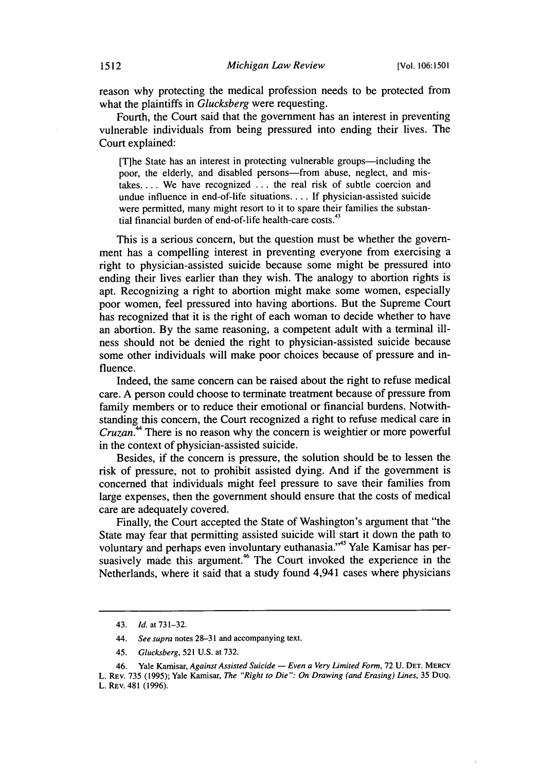reason why protecting the medical profession needs to be protected from what the plaintiffs in *Glucksberg* were requesting.

Fourth, the Court said that the government has an interest in preventing vulnerable individuals from being pressured into ending their lives. The Court explained:

[T]he State has an interest in protecting vulnerable groups—including the poor, the elderly, and disabled persons-from abuse, neglect, and mistakes.... We have recognized ... the real risk of subtle coercion and undue influence in end-of-life situations.... If physician-assisted suicide were permitted, many might resort to it to spare their families the substantial financial burden of end-of-life health-care costs.<sup>43</sup>

This is a serious concern, but the question must be whether the government has a compelling interest in preventing everyone from exercising a right to physician-assisted suicide because some might be pressured into ending their lives earlier than they wish. The analogy to abortion rights is apt. Recognizing a right to abortion might make some women, especially poor women, feel pressured into having abortions. But the Supreme Court has recognized that it is the right of each woman to decide whether to have an abortion. By the same reasoning, a competent adult with a terminal illness should not be denied the right to physician-assisted suicide because some other individuals will make poor choices because of pressure and influence.

Indeed, the same concern can be raised about the right to refuse medical care. A person could choose to terminate treatment because of pressure from family members or to reduce their emotional or financial burdens. Notwithstanding this concern, the Court recognized a right to refuse medical care in *Cruzan."* There is no reason why the concern is weightier or more powerful in the context of physician-assisted suicide.

Besides, if the concern is pressure, the solution should be to lessen the risk of pressure, not to prohibit assisted dying. And if the government is concerned that individuals might feel pressure to save their families from large expenses, then the government should ensure that the costs of medical care are adequately covered.

Finally, the Court accepted the State of Washington's argument that "the State may fear that permitting assisted suicide will start it down the path to voluntary and perhaps even involuntary euthanasia."<sup>45</sup> Yale Kamisar has persuasively made this argument.<sup>46</sup> The Court invoked the experience in the Netherlands, where it said that a study found 4,941 cases where physicians

46. Yale Kamisar, *Against Assisted Suicide — Even a Very Limited Form*, 72 U. DET. MERCY L. REv. **735 (1995);** Yale Kamisar, *The "Right to Die": On Drawing (and Erasing) Lines,* 35 DuQ. L. REV. 481 **(1996).**

<sup>43.</sup> *Id.* at 731-32.

<sup>44.</sup> *See* supra notes **28-31** and accompanying text.

<sup>45.</sup> *Glucksberg,* 521 U.S. at 732.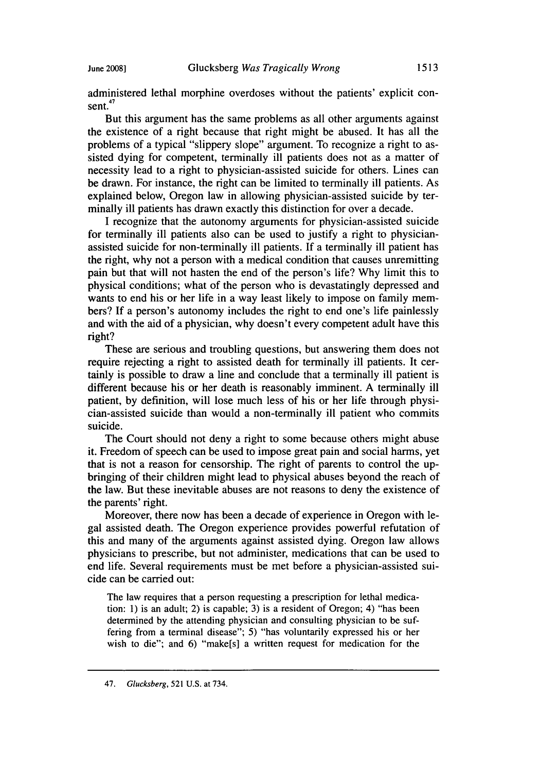administered lethal morphine overdoses without the patients' explicit consent. $47$ 

But this argument has the same problems as all other arguments against the existence of a right because that right might be abused. It has all the problems of a typical "slippery slope" argument. To recognize a right to assisted dying for competent, terminally ill patients does not as a matter of necessity lead to a right to physician-assisted suicide for others. Lines can be drawn. For instance, the right can be limited to terminally ill patients. As explained below, Oregon law in allowing physician-assisted suicide **by** terminally ill patients has drawn exactly this distinction for over a decade.

**I** recognize that the autonomy arguments for physician-assisted suicide for terminally ill patients also can be used to justify a right to physicianassisted suicide for non-terminally ill patients. **If** a terminally ill patient has the right, why not a person with a medical condition that causes unremitting pain but that will not hasten the end of the person's life? **Why** limit this to physical conditions; what of the person who is devastatingly depressed and wants to end his or her life in a way least likely to impose on family members? **If** a person's autonomy includes the right to end one's life painlessly and with the aid of a physician, why doesn't every competent adult have this right?

These are serious and troubling questions, but answering them does not require rejecting a right to assisted death for terminally ill patients. It certainly is possible to draw a line and conclude that a terminally ill patient is different because his or her death is reasonably imminent. **A** terminally ill patient, **by** definition, will lose much less of his or her life through physician-assisted suicide than would a non-terminally ill patient who commits suicide.

The Court should not deny a fight to some because others might abuse it. Freedom of speech can be used to impose great pain and social harms, yet that is not a reason for censorship. The right of parents to control the upbringing of their children might lead to physical abuses beyond the reach of the law. But these inevitable abuses are not reasons to deny the existence of the parents' right.

Moreover, there now has been a decade of experience in Oregon with legal assisted death. The Oregon experience provides powerful refutation of this and many of the arguments against assisted dying. Oregon law allows physicians to prescribe, but not administer, medications that can be used to end life. Several requirements must be met before a physician-assisted suicide can be carried out:

The law requires that a person requesting a prescription for lethal medication: **1)** is an adult; 2) is capable; **3)** is a resident of Oregon; 4) "has been determined **by** the attending physician and consulting physician to be suffering from a terminal disease"; **5)** "has voluntarily expressed his or her wish to die"; and **6)** "make[s] a written request for medication for the

<sup>47.</sup> Glucksberg, **521 U.S.** at 734.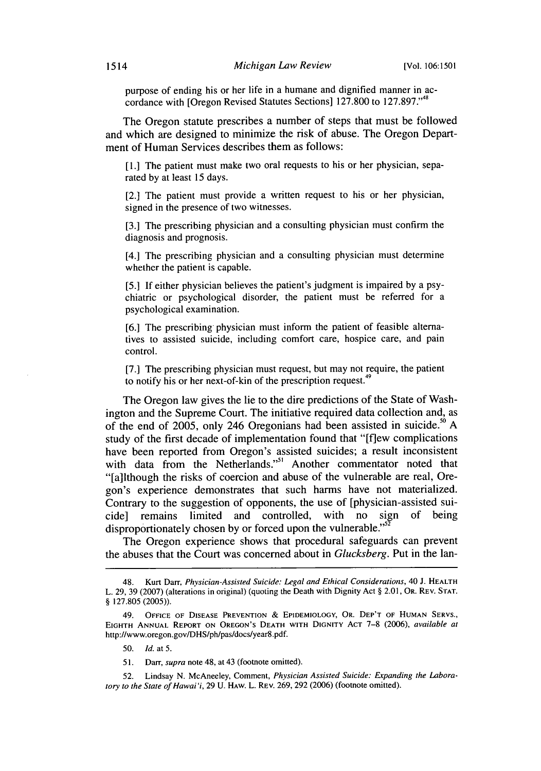purpose of ending his or her life in a humane and dignified manner in accordance with [Oregon Revised Statutes Sections] 127.800 to 127.897."<sup>48</sup>

The Oregon statute prescribes a number of steps that must be followed and which are designed to minimize the risk of abuse. The Oregon Department of Human Services describes them as follows:

**[** 1.] The patient must make two oral requests to his or her physician, separated by at least 15 days.

[2.] The patient must provide a written request to his or her physician, signed in the presence of two witnesses.

[3.] The prescribing physician and a consulting physician must confirm the diagnosis and prognosis.

[4.] The prescribing physician and a consulting physician must determine whether the patient is capable.

[5.] If either physician believes the patient's judgment is impaired by a psychiatric or psychological disorder, the patient must be referred for a psychological examination.

[6.] The prescribing physician must inform the patient of feasible alternatives to assisted suicide, including comfort care, hospice care, and pain control.

[7.] The prescribing physician must request, but may not require, the patient to notify his or her next-of-kin of the prescription request.<sup>49</sup>

The Oregon law gives the lie to the dire predictions of the State of Washington and the Supreme Court. The initiative required data collection and, as of the end of 2005, only 246 Oregonians had been assisted in suicide.<sup>30</sup> A study of the first decade of implementation found that "[flew complications have been reported from Oregon's assisted suicides; a result inconsistent with data from the Netherlands."<sup>51</sup> Another commentator noted that "[a]lthough the risks of coercion and abuse of the vulnerable are real, Oregon's experience demonstrates that such harms have not materialized. Contrary to the suggestion of opponents, the use of [physician-assisted suicide] remains limited and controlled, with no sign of being disproportionately chosen by or forced upon the vulnerable." $52$ 

The Oregon experience shows that procedural safeguards can prevent the abuses that the Court was concerned about in *Glucksberg.* Put in the lan-

50. Id. at 5.

**51.** Darr, supra note 48, at 43 (footnote omitted).

**52.** Lindsay N. McAneeley, Comment, Physician Assisted Suicide: Expanding the Laboratory to the State of Hawai 'i, **29 U. HAW.** L. **REv.** 269, **292** (2006) (footnote omitted).

<sup>48.</sup> Kurt Darr, Physician-Assisted Suicide: Legal and Ethical Considerations, 40 J. **HEALTH** L. 29, **39** (2007) (alterations in original) (quoting the Death with Dignity Act § 2.01, OR. **REV. STAT.** § 127.805 (2005)).

<sup>49.</sup> **OFFICE** OF **DISEASE PREVENTION & EPIDEMIOLOGY, OR. DEP'T** OF **HUMAN SERVS., EIGHTH ANNUAL REPORT ON** OREGON'S **DEATH WITH DIGNITY ACT** 7-8 (2006), available at http://www.oregon.gov/DHS/ph/pas/docs/year8.pdf.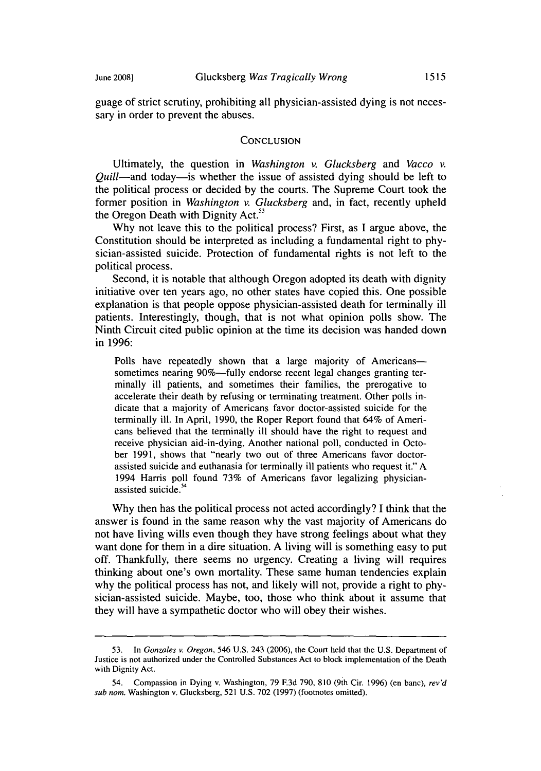guage of strict scrutiny, prohibiting all physician-assisted dying is not necessary in order to prevent the abuses.

#### **CONCLUSION**

Ultimately, the question in *Washington v. Glucksberg* and *Vacco v. Quill*—and today—is whether the issue of assisted dying should be left to the political process or decided by the courts. The Supreme Court took the former position in *Washington v. Glucksberg* and, in fact, recently upheld the Oregon Death with Dignity Act. $5$ 

Why not leave this to the political process? First, as I argue above, the Constitution should be interpreted as including a fundamental right to physician-assisted suicide. Protection of fundamental rights is not left to the political process.

Second, it is notable that although Oregon adopted its death with dignity initiative over ten years ago, no other states have copied this. One possible explanation is that people oppose physician-assisted death for terminally ill patients. Interestingly, though, that is not what opinion polls show. The Ninth Circuit cited public opinion at the time its decision was handed down in 1996:

Polls have repeatedly shown that a large majority of Americanssometimes nearing 90%-fully endorse recent legal changes granting terminally ill patients, and sometimes their families, the prerogative to accelerate their death by refusing or terminating treatment. Other polls indicate that a majority of Americans favor doctor-assisted suicide for the terminally ill. In April, 1990, the Roper Report found that 64% of Americans believed that the terminally ill should have the right to request and receive physician aid-in-dying. Another national poll, conducted in October 1991, shows that "nearly two out of three Americans favor doctorassisted suicide and euthanasia for terminally ill patients who request it." A 1994 Harris poll found 73% of Americans favor legalizing physicianassisted suicide.<sup>5</sup>

Why then has the political process not acted accordingly? I think that the answer is found in the same reason why the vast majority of Americans do not have living wills even though they have strong feelings about what they want done for them in a dire situation. A living will is something easy to put off. Thankfully, there seems no urgency. Creating a living will requires thinking about one's own mortality. These same human tendencies explain why the political process has not, and likely will not, provide a right to physician-assisted suicide. Maybe, too, those who think about it assume that they will have a sympathetic doctor who will obey their wishes.

<sup>53.</sup> In *Gonzales v. Oregon,* 546 U.S. 243 (2006), the Court held that the U.S. Department of Justice is not authorized under the Controlled Substances Act to block implementation of the Death with Dignity Act.

<sup>54.</sup> Compassion in Dying v. Washington, 79 **F.3d** 790, 810 (9th Cir. 1996) (en banc), *rev'd* sub nom. Washington v. Glucksberg, 521 U.S. 702 (1997) (footnotes omitted).